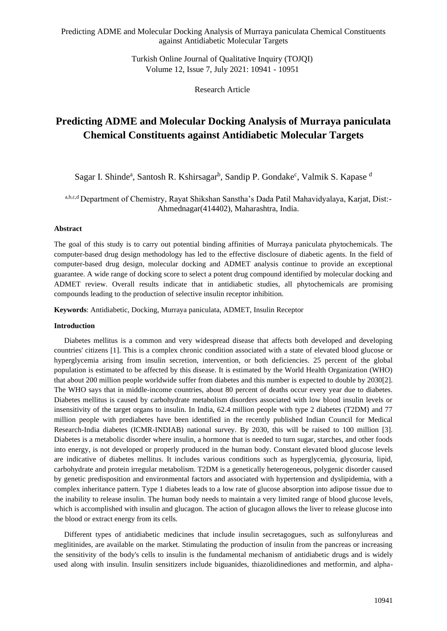> Turkish Online Journal of Qualitative Inquiry (TOJQI) Volume 12, Issue 7, July 2021: 10941 - 10951

> > Research Article

# **Predicting ADME and Molecular Docking Analysis of Murraya paniculata Chemical Constituents against Antidiabetic Molecular Targets**

Sagar I. Shinde<sup>a</sup>, Santosh R. Kshirsagar<sup>b</sup>, Sandip P. Gondake<sup>c</sup>, Valmik S. Kapase d

a,b,c,d Department of Chemistry, Rayat Shikshan Sanstha's Dada Patil Mahavidyalaya, Karjat, Dist:- Ahmednagar(414402), Maharashtra, India.

#### **Abstract**

The goal of this study is to carry out potential binding affinities of Murraya paniculata phytochemicals. The computer-based drug design methodology has led to the effective disclosure of diabetic agents. In the field of computer-based drug design, molecular docking and ADMET analysis continue to provide an exceptional guarantee. A wide range of docking score to select a potent drug compound identified by molecular docking and ADMET review. Overall results indicate that in antidiabetic studies, all phytochemicals are promising compounds leading to the production of selective insulin receptor inhibition.

**Keywords**: Antidiabetic, Docking, Murraya paniculata, ADMET, Insulin Receptor

#### **Introduction**

Diabetes mellitus is a common and very widespread disease that affects both developed and developing countries' citizens [1]. This is a complex chronic condition associated with a state of elevated blood glucose or hyperglycemia arising from insulin secretion, intervention, or both deficiencies. 25 percent of the global population is estimated to be affected by this disease. It is estimated by the World Health Organization (WHO) that about 200 million people worldwide suffer from diabetes and this number is expected to double by 2030[2]. The WHO says that in middle-income countries, about 80 percent of deaths occur every year due to diabetes. Diabetes mellitus is caused by carbohydrate metabolism disorders associated with low blood insulin levels or insensitivity of the target organs to insulin. In India, 62.4 million people with type 2 diabetes (T2DM) and 77 million people with prediabetes have been identified in the recently published Indian Council for Medical Research-India diabetes (ICMR-INDIAB) national survey. By 2030, this will be raised to 100 million [3]. Diabetes is a metabolic disorder where insulin, a hormone that is needed to turn sugar, starches, and other foods into energy, is not developed or properly produced in the human body. Constant elevated blood glucose levels are indicative of diabetes mellitus. It includes various conditions such as hyperglycemia, glycosuria, lipid, carbohydrate and protein irregular metabolism. T2DM is a genetically heterogeneous, polygenic disorder caused by genetic predisposition and environmental factors and associated with hypertension and dyslipidemia, with a complex inheritance pattern. Type 1 diabetes leads to a low rate of glucose absorption into adipose tissue due to the inability to release insulin. The human body needs to maintain a very limited range of blood glucose levels, which is accomplished with insulin and glucagon. The action of glucagon allows the liver to release glucose into the blood or extract energy from its cells.

Different types of antidiabetic medicines that include insulin secretagogues, such as sulfonylureas and meglitinides, are available on the market. Stimulating the production of insulin from the pancreas or increasing the sensitivity of the body's cells to insulin is the fundamental mechanism of antidiabetic drugs and is widely used along with insulin. Insulin sensitizers include biguanides, thiazolidinediones and metformin, and alpha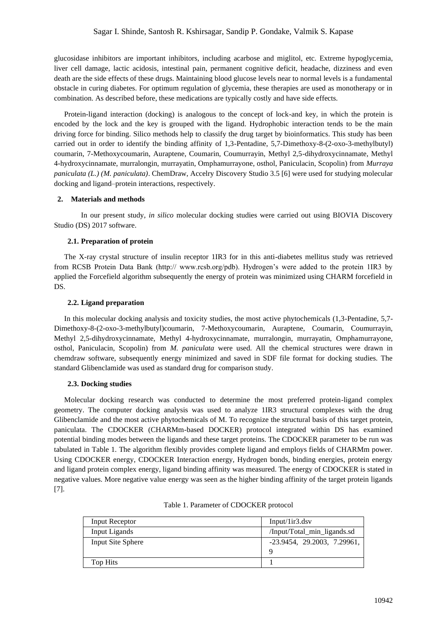glucosidase inhibitors are important inhibitors, including acarbose and miglitol, etc. Extreme hypoglycemia, liver cell damage, lactic acidosis, intestinal pain, permanent cognitive deficit, headache, dizziness and even death are the side effects of these drugs. Maintaining blood glucose levels near to normal levels is a fundamental obstacle in curing diabetes. For optimum regulation of glycemia, these therapies are used as monotherapy or in combination. As described before, these medications are typically costly and have side effects.

Protein-ligand interaction (docking) is analogous to the concept of lock-and key, in which the protein is encoded by the lock and the key is grouped with the ligand. Hydrophobic interaction tends to be the main driving force for binding. Silico methods help to classify the drug target by bioinformatics. This study has been carried out in order to identify the binding affinity of 1,3-Pentadine, 5,7-Dimethoxy-8-(2-oxo-3-methylbutyl) coumarin, 7-Methoxycoumarin, Auraptene, Coumarin, Coumurrayin, Methyl 2,5-dihydroxycinnamate, Methyl 4-hydroxycinnamate, murralongin, murrayatin, Omphamurrayone, osthol, Paniculacin, Scopolin) from *Murraya paniculata (L.) (M. paniculata)*. ChemDraw, Accelry Discovery Studio 3.5 [6] were used for studying molecular docking and ligand–protein interactions, respectively.

## **2. Materials and methods**

In our present study, *in silico* molecular docking studies were carried out using BIOVIA Discovery Studio (DS) 2017 software.

## **2.1. Preparation of protein**

The X-ray crystal structure of insulin receptor 1IR3 for in this anti-diabetes mellitus study was retrieved from RCSB Protein Data Bank (http:// www.rcsb.org/pdb). Hydrogen's were added to the protein 1IR3 by applied the Forcefield algorithm subsequently the energy of protein was minimized using CHARM forcefield in DS.

## **2.2. Ligand preparation**

In this molecular docking analysis and toxicity studies, the most active phytochemicals (1,3-Pentadine, 5,7- Dimethoxy-8-(2-oxo-3-methylbutyl)coumarin, 7-Methoxycoumarin, Auraptene, Coumarin, Coumurrayin, Methyl 2,5-dihydroxycinnamate, Methyl 4-hydroxycinnamate, murralongin, murrayatin, Omphamurrayone, osthol, Paniculacin, Scopolin) from *M. paniculata* were used. All the chemical structures were drawn in chemdraw software, subsequently energy minimized and saved in SDF file format for docking studies. The standard Glibenclamide was used as standard drug for comparison study.

#### **2.3. Docking studies**

Molecular docking research was conducted to determine the most preferred protein-ligand complex geometry. The computer docking analysis was used to analyze 1IR3 structural complexes with the drug Glibenclamide and the most active phytochemicals of M. To recognize the structural basis of this target protein, paniculata. The CDOCKER (CHARMm-based DOCKER) protocol integrated within DS has examined potential binding modes between the ligands and these target proteins. The CDOCKER parameter to be run was tabulated in Table 1. The algorithm flexibly provides complete ligand and employs fields of CHARMm power. Using CDOCKER energy, CDOCKER Interaction energy, Hydrogen bonds, binding energies, protein energy and ligand protein complex energy, ligand binding affinity was measured. The energy of CDOCKER is stated in negative values. More negative value energy was seen as the higher binding affinity of the target protein ligands [7].

| Input Receptor    | $Input/1ir3.$ dsv              |  |  |  |  |
|-------------------|--------------------------------|--|--|--|--|
| Input Ligands     | /Input/Total_min_ligands.sd    |  |  |  |  |
| Input Site Sphere | $-23.9454$ , 29.2003, 7.29961, |  |  |  |  |
|                   | q                              |  |  |  |  |
| Top Hits          |                                |  |  |  |  |

#### Table 1. Parameter of CDOCKER protocol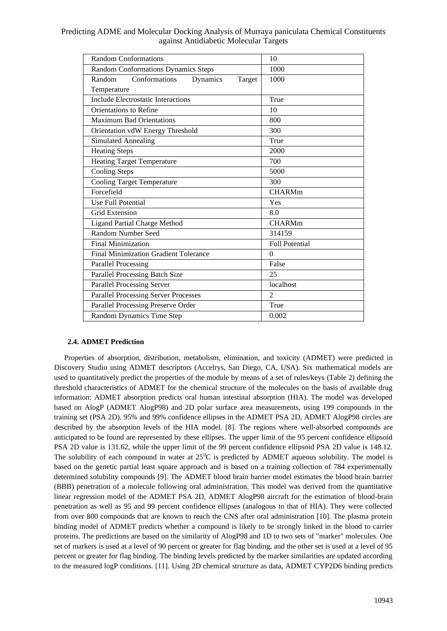| <b>Random Conformations</b>                   | 10                    |  |  |  |  |
|-----------------------------------------------|-----------------------|--|--|--|--|
| <b>Random Conformations Dynamics Steps</b>    | 1000                  |  |  |  |  |
| Conformations<br>Random<br>Dynamics<br>Target | 1000                  |  |  |  |  |
| Temperature                                   |                       |  |  |  |  |
| <b>Include Electrostatic Interactions</b>     | True                  |  |  |  |  |
| Orientations to Refine                        | 10                    |  |  |  |  |
| <b>Maximum Bad Orientations</b>               | 800                   |  |  |  |  |
| Orientation vdW Energy Threshold              | 300                   |  |  |  |  |
| <b>Simulated Annealing</b>                    | True                  |  |  |  |  |
| <b>Heating Steps</b>                          | 2000                  |  |  |  |  |
| <b>Heating Target Temperature</b>             | 700                   |  |  |  |  |
| <b>Cooling Steps</b>                          | 5000                  |  |  |  |  |
| <b>Cooling Target Temperature</b>             | 300                   |  |  |  |  |
| Forcefield                                    | <b>CHARMm</b>         |  |  |  |  |
| Use Full Potential                            | Yes                   |  |  |  |  |
| Grid Extension                                | 8.0                   |  |  |  |  |
| <b>Ligand Partial Charge Method</b>           | <b>CHARMm</b>         |  |  |  |  |
| <b>Random Number Seed</b>                     | 314159                |  |  |  |  |
| <b>Final Minimization</b>                     | <b>Full Potential</b> |  |  |  |  |
| <b>Final Minimization Gradient Tolerance</b>  | $\theta$              |  |  |  |  |
| <b>Parallel Processing</b>                    | False                 |  |  |  |  |
| Parallel Processing Batch Size                | 25                    |  |  |  |  |
| <b>Parallel Processing Server</b>             | localhost             |  |  |  |  |
| <b>Parallel Processing Server Processes</b>   | 2                     |  |  |  |  |
| Parallel Processing Preserve Order            | True                  |  |  |  |  |
| Random Dynamics Time Step                     | 0.002                 |  |  |  |  |

## **2.4. ADMET Prediction**

Properties of absorption, distribution, metabolism, elimination, and toxicity (ADMET) were predicted in Discovery Studio using ADMET descriptors (Accelrys, San Diego, CA, USA). Six mathematical models are used to quantitatively predict the properties of the module by means of a set of rules/keys (Table 2) defining the threshold characteristics of ADMET for the chemical structure of the molecules on the basis of available drug information: ADMET absorption predicts oral human intestinal absorption (HIA). The model was developed based on AlogP (ADMET AlogP98) and 2D polar surface area measurements, using 199 compounds in the training set (PSA 2D). 95% and 99% confidence ellipses in the ADMET PSA 2D, ADMET AlogP98 circles are described by the absorption levels of the HIA model. [8]. The regions where well-absorbed compounds are anticipated to be found are represented by these ellipses. The upper limit of the 95 percent confidence ellipsoid PSA 2D value is 131.62, while the upper limit of the 99 percent confidence ellipsoid PSA 2D value is 148.12. The solubility of each compound in water at  $25^{\circ}\text{C}$  is predicted by ADMET aqueous solubility. The model is based on the genetic partial least square approach and is based on a training collection of 784 experimentally determined solubility compounds [9]. The ADMET blood brain barrier model estimates the blood brain barrier (BBB) penetration of a molecule following oral administration. This model was derived from the quantitative linear regression model of the ADMET PSA 2D, ADMET AlogP98 aircraft for the estimation of blood-brain penetration as well as 95 and 99 percent confidence ellipses (analogous to that of HIA). They were collected from over 800 compounds that are known to reach the CNS after oral administration [10]. The plasma protein binding model of ADMET predicts whether a compound is likely to be strongly linked in the blood to carrier proteins. The predictions are based on the similarity of AlogP98 and 1D to two sets of "marker" molecules. One set of markers is used at a level of 90 percent or greater for flag binding, and the other set is used at a level of 95 percent or greater for flag binding. The binding levels predicted by the marker similarities are updated according to the measured logP conditions. [11]. Using 2D chemical structure as data, ADMET CYP2D6 binding predicts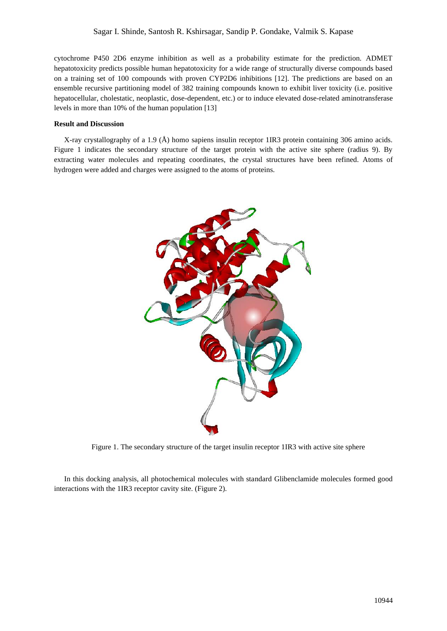cytochrome P450 2D6 enzyme inhibition as well as a probability estimate for the prediction. ADMET hepatotoxicity predicts possible human hepatotoxicity for a wide range of structurally diverse compounds based on a training set of 100 compounds with proven CYP2D6 inhibitions [12]. The predictions are based on an ensemble recursive partitioning model of 382 training compounds known to exhibit liver toxicity (i.e. positive hepatocellular, cholestatic, neoplastic, dose-dependent, etc.) or to induce elevated dose-related aminotransferase levels in more than 10% of the human population [13]

#### **Result and Discussion**

X-ray crystallography of a 1.9 (Å) homo sapiens insulin receptor 1IR3 protein containing 306 amino acids. Figure 1 indicates the secondary structure of the target protein with the active site sphere (radius 9). By extracting water molecules and repeating coordinates, the crystal structures have been refined. Atoms of hydrogen were added and charges were assigned to the atoms of proteins.



Figure 1. The secondary structure of the target insulin receptor 1IR3 with active site sphere

In this docking analysis, all photochemical molecules with standard Glibenclamide molecules formed good interactions with the 1IR3 receptor cavity site. (Figure 2).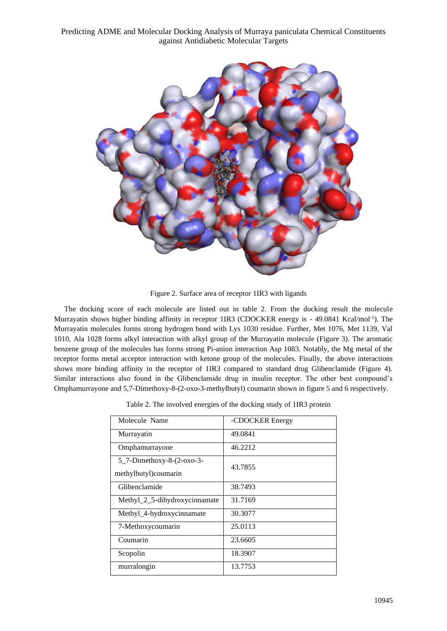

Figure 2. Surface area of receptor 1IR3 with ligands

The docking score of each molecule are listed out in table 2. From the docking result the molecule Murrayatin shows higher binding affinity in receptor 1IR3 (CDOCKER energy is - 49.0841 Kcal/mol<sup>-1</sup>). The Murrayatin molecules forms strong hydrogen bond with Lys 1030 residue. Further, Met 1076, Met 1139, Val 1010, Ala 1028 forms alkyl interaction with alkyl group of the Murrayatin molecule (Figure 3). The aromatic benzene group of the molecules has forms strong Pi-anion interaction Asp 1083. Notably, the Mg metal of the receptor forms metal acceptor interaction with ketone group of the molecules. Finally, the above interactions shows more binding affinity in the receptor of 1IR3 compared to standard drug Glibenclamide (Figure 4). Similar interactions also found in the Glibenclamide drug in insulin receptor. The other best compound's Omphamurrayone and 5,7-Dimethoxy-8-(2-oxo-3-methylbutyl) coumarin shown in figure 5 and 6 respectively.

|  | Table 2. The involved energies of the docking study of 1IR3 protein |  |  |  |  |
|--|---------------------------------------------------------------------|--|--|--|--|
|  |                                                                     |  |  |  |  |

| Molecule Name                                     | -CDOCKER Energy |
|---------------------------------------------------|-----------------|
| Murrayatin                                        | 49.0841         |
| Omphamurrayone                                    | 46.2212         |
| 5_7-Dimethoxy-8-(2-oxo-3-<br>methylbutyl)coumarin | 43.7855         |
| Glibenclamide                                     | 38.7493         |
| Methyl_2_5-dihydroxycinnamate                     | 31.7169         |
| Methyl_4-hydroxycinnamate                         | 30.3077         |
| 7-Methoxycoumarin                                 | 25.0113         |
| Coumarin                                          | 23.6605         |
| Scopolin                                          | 18.3907         |
| murralongin                                       | 13.7753         |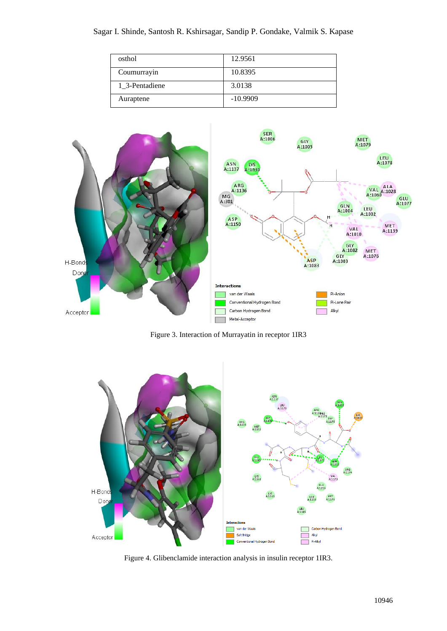| osthol         | 12.9561    |
|----------------|------------|
| Coumurrayin    | 10.8395    |
| 1 3-Pentadiene | 3.0138     |
| Auraptene      | $-10.9909$ |



Figure 3. Interaction of Murrayatin in receptor 1IR3



Figure 4. Glibenclamide interaction analysis in insulin receptor 1IR3.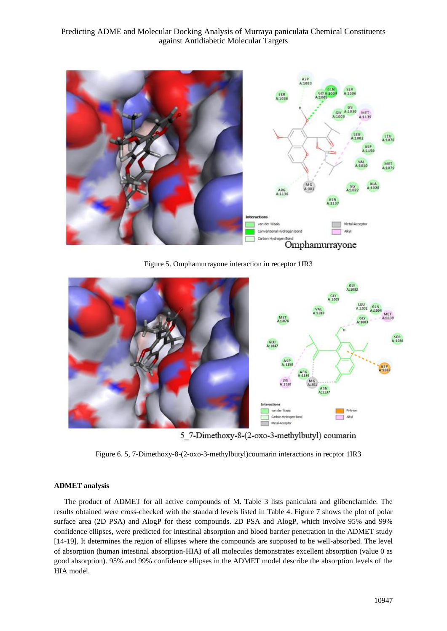

Figure 5. Omphamurrayone interaction in receptor 1IR3



5 7-Dimethoxy-8-(2-oxo-3-methylbutyl) coumarin

Figure 6. 5, 7-Dimethoxy-8-(2-oxo-3-methylbutyl)coumarin interactions in recptor 1IR3

## **ADMET analysis**

The product of ADMET for all active compounds of M. Table 3 lists paniculata and glibenclamide. The results obtained were cross-checked with the standard levels listed in Table 4. Figure 7 shows the plot of polar surface area (2D PSA) and AlogP for these compounds. 2D PSA and AlogP, which involve 95% and 99% confidence ellipses, were predicted for intestinal absorption and blood barrier penetration in the ADMET study [14-19]. It determines the region of ellipses where the compounds are supposed to be well-absorbed. The level of absorption (human intestinal absorption-HIA) of all molecules demonstrates excellent absorption (value 0 as good absorption). 95% and 99% confidence ellipses in the ADMET model describe the absorption levels of the HIA model.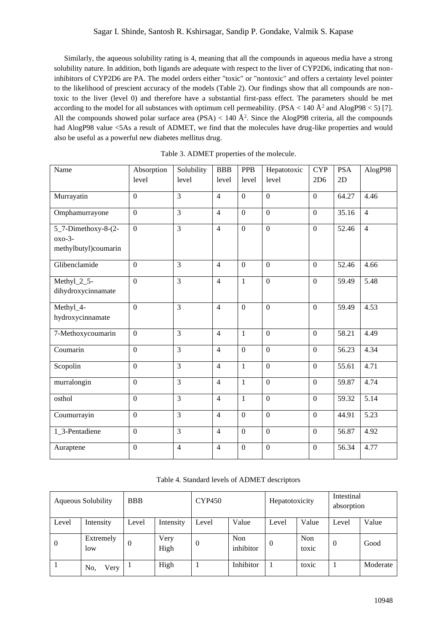Similarly, the aqueous solubility rating is 4, meaning that all the compounds in aqueous media have a strong solubility nature. In addition, both ligands are adequate with respect to the liver of CYP2D6, indicating that noninhibitors of CYP2D6 are PA. The model orders either "toxic" or "nontoxic" and offers a certainty level pointer to the likelihood of prescient accuracy of the models (Table 2). Our findings show that all compounds are nontoxic to the liver (level 0) and therefore have a substantial first-pass effect. The parameters should be met according to the model for all substances with optimum cell permeability. (PSA < 140  $\AA^2$  and AlogP98 < 5) [7]. All the compounds showed polar surface area (PSA)  $< 140 \text{ Å}^2$ . Since the AlogP98 criteria, all the compounds had AlogP98 value <5As a result of ADMET, we find that the molecules have drug-like properties and would also be useful as a powerful new diabetes mellitus drug.

| Name                 | Absorption       | Solubility     | <b>BBB</b>     | <b>PPB</b>     | Hepatotoxic      | <b>CYP</b>       | <b>PSA</b> | AlogP98        |
|----------------------|------------------|----------------|----------------|----------------|------------------|------------------|------------|----------------|
|                      | level            | level          | level          | level          | level            | 2D6              | 2D         |                |
| Murrayatin           | $\boldsymbol{0}$ | $\overline{3}$ | $\overline{4}$ | $\overline{0}$ | $\overline{0}$   | $\overline{0}$   | 64.27      | 4.46           |
|                      |                  |                |                |                |                  |                  |            |                |
| Omphamurrayone       | $\boldsymbol{0}$ | 3              | $\overline{4}$ | $\mathbf{0}$   | $\boldsymbol{0}$ | $\boldsymbol{0}$ | 35.16      | $\overline{4}$ |
| 5_7-Dimethoxy-8-(2-  | $\overline{0}$   | $\overline{3}$ | $\overline{4}$ | $\overline{0}$ | $\overline{0}$   | $\overline{0}$   | 52.46      | $\overline{4}$ |
| $oxo-3-$             |                  |                |                |                |                  |                  |            |                |
| methylbutyl)coumarin |                  |                |                |                |                  |                  |            |                |
| Glibenclamide        | $\mathbf{0}$     | $\overline{3}$ | $\overline{4}$ | $\overline{0}$ | $\theta$         | $\overline{0}$   | 52.46      | 4.66           |
| Methyl_2_5-          | $\overline{0}$   | $\overline{3}$ | $\overline{4}$ | $\mathbf{1}$   | $\overline{0}$   | $\overline{0}$   | 59.49      | $\sqrt{5.48}$  |
| dihydroxycinnamate   |                  |                |                |                |                  |                  |            |                |
| Methyl_4-            | $\mathbf{0}$     | $\overline{3}$ | $\overline{4}$ | $\overline{0}$ | $\overline{0}$   | $\overline{0}$   | 59.49      | 4.53           |
| hydroxycinnamate     |                  |                |                |                |                  |                  |            |                |
| 7-Methoxycoumarin    | $\overline{0}$   | $\overline{3}$ | $\overline{4}$ | $\mathbf{1}$   | $\overline{0}$   | $\overline{0}$   | 58.21      | 4.49           |
| Coumarin             | $\boldsymbol{0}$ | $\overline{3}$ | $\overline{4}$ | $\overline{0}$ | $\overline{0}$   | $\overline{0}$   | 56.23      | 4.34           |
| Scopolin             | $\boldsymbol{0}$ | 3              | $\overline{4}$ | $\mathbf{1}$   | $\boldsymbol{0}$ | $\overline{0}$   | 55.61      | 4.71           |
| murralongin          | $\mathbf{0}$     | $\overline{3}$ | $\overline{4}$ | $\mathbf{1}$   | $\overline{0}$   | $\overline{0}$   | 59.87      | 4.74           |
| osthol               | $\mathbf{0}$     | $\overline{3}$ | $\overline{4}$ | $\mathbf{1}$   | $\overline{0}$   | $\overline{0}$   | 59.32      | 5.14           |
| Coumurrayin          | $\overline{0}$   | $\overline{3}$ | $\overline{4}$ | $\overline{0}$ | $\overline{0}$   | $\overline{0}$   | 44.91      | 5.23           |
| 1_3-Pentadiene       | $\overline{0}$   | $\overline{3}$ | $\overline{4}$ | $\overline{0}$ | $\overline{0}$   | $\overline{0}$   | 56.87      | 4.92           |
| Auraptene            | $\mathbf{0}$     | $\overline{4}$ | $\overline{4}$ | $\overline{0}$ | $\mathbf{0}$     | $\overline{0}$   | 56.34      | 4.77           |

Table 3. ADMET properties of the molecule.

|  | Table 4. Standard levels of ADMET descriptors |  |  |
|--|-----------------------------------------------|--|--|
|--|-----------------------------------------------|--|--|

| <b>Aqueous Solubility</b> |                  | <b>CYP450</b><br><b>BBB</b> |              |          |                  | Hepatotoxicity |              | Intestinal<br>absorption |          |
|---------------------------|------------------|-----------------------------|--------------|----------|------------------|----------------|--------------|--------------------------|----------|
| Level                     | Intensity        | Level                       | Intensity    | Level    | Value            | Level          | Value        | Level                    | Value    |
| $\Omega$                  | Extremely<br>low | $\theta$                    | Very<br>High | $\Omega$ | Non<br>inhibitor | $\Omega$       | Non<br>toxic | $\theta$                 | Good     |
|                           | No.<br>Very      |                             | High         |          | Inhibitor        |                | toxic        |                          | Moderate |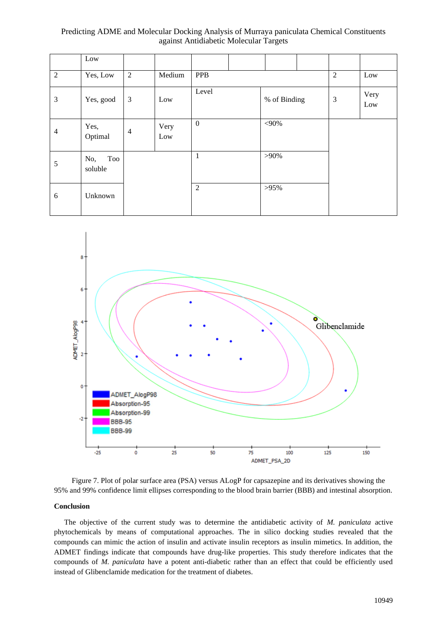|                | Low                   |                |             |                       |  |         |                |             |     |
|----------------|-----------------------|----------------|-------------|-----------------------|--|---------|----------------|-------------|-----|
| $\overline{2}$ | Yes, Low              | $\mathfrak{2}$ | Medium      | <b>PPB</b>            |  |         |                |             | Low |
| 3              | Yes, good             | $\mathfrak{Z}$ | Low         | Level<br>% of Binding |  |         | $\mathfrak{Z}$ | Very<br>Low |     |
| $\overline{4}$ | Yes,<br>Optimal       | $\overline{4}$ | Very<br>Low | $\boldsymbol{0}$      |  | $<$ 90% |                |             |     |
| 5              | Too<br>No,<br>soluble |                |             | $\mathbf{1}$          |  | $>90\%$ |                |             |     |
| 6              | Unknown               |                |             | $\overline{2}$        |  | $>95\%$ |                |             |     |





### **Conclusion**

The objective of the current study was to determine the antidiabetic activity of *M. paniculata* active phytochemicals by means of computational approaches. The in silico docking studies revealed that the compounds can mimic the action of insulin and activate insulin receptors as insulin mimetics. In addition, the ADMET findings indicate that compounds have drug-like properties. This study therefore indicates that the compounds of *M. paniculata* have a potent anti-diabetic rather than an effect that could be efficiently used instead of Glibenclamide medication for the treatment of diabetes.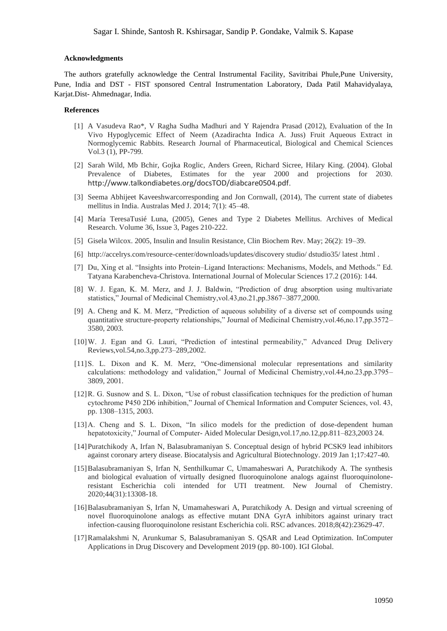#### **Acknowledgments**

The authors gratefully acknowledge the Central Instrumental Facility, Savitribai Phule,Pune University, Pune, India and DST - FIST sponsored Central Instrumentation Laboratory, Dada Patil Mahavidyalaya, Karjat.Dist- Ahmednagar, India.

## **References**

- [1] A Vasudeva Rao\*, V Ragha Sudha Madhuri and Y Rajendra Prasad (2012), Evaluation of the In Vivo Hypoglycemic Effect of Neem (Azadirachta Indica A. Juss) Fruit Aqueous Extract in Normoglycemic Rabbits. Research Journal of Pharmaceutical, Biological and Chemical Sciences Vol.3 (1), PP-799.
- [2] Sarah Wild, Mb Bchir, Gojka Roglic, Anders Green, Richard Sicree, Hilary King. (2004). Global Prevalence of Diabetes, Estimates for the year 2000 and projections for 2030. <http://www.talkondiabetes.org/docsTOD/diabcare0504.pdf>.
- [3] Seema Abhijeet Kaveeshwarcorresponding and Jon Cornwall, (2014), The current state of diabetes mellitus in India. Australas Med J. 2014; 7(1): 45–48.
- [4] María TeresaTusié Luna, (2005), Genes and Type 2 Diabetes Mellitus. Archives of Medical Research. Volume 36, Issue 3, Pages 210-222.
- [5] Gisela Wilcox. 2005, Insulin and Insulin Resistance, Clin Biochem Rev. May; 26(2): 19–39.
- [6] [http://accelrys.com/resource-center/downloads/updates/discovery studio/ dstudio35/ latest .html](http://accelrys.com/resource-center/downloads/updates/discovery%20studio/%20dstudio35/%20latest%20.html) .
- [7] Du, Xing et al. "Insights into Protein–Ligand Interactions: Mechanisms, Models, and Methods." Ed. Tatyana Karabencheva-Christova. International Journal of Molecular Sciences 17.2 (2016): 144.
- [8] W. J. Egan, K. M. Merz, and J. J. Baldwin, "Prediction of drug absorption using multivariate statistics," Journal of Medicinal Chemistry,vol.43,no.21,pp.3867–3877,2000.
- [9] A. Cheng and K. M. Merz, "Prediction of aqueous solubility of a diverse set of compounds using quantitative structure-property relationships," Journal of Medicinal Chemistry,vol.46,no.17,pp.3572– 3580, 2003.
- [10]W. J. Egan and G. Lauri, "Prediction of intestinal permeability," Advanced Drug Delivery Reviews,vol.54,no.3,pp.273–289,2002.
- [11]S. L. Dixon and K. M. Merz, "One-dimensional molecular representations and similarity calculations: methodology and validation," Journal of Medicinal Chemistry,vol.44,no.23,pp.3795– 3809, 2001.
- [12]R. G. Susnow and S. L. Dixon, "Use of robust classification techniques for the prediction of human cytochrome P450 2D6 inhibition," Journal of Chemical Information and Computer Sciences, vol. 43, pp. 1308–1315, 2003.
- [13]A. Cheng and S. L. Dixon, "In silico models for the prediction of dose-dependent human hepatotoxicity," Journal of Computer- Aided Molecular Design,vol.17,no.12,pp.811–823,2003 24.
- [14]Puratchikody A, Irfan N, Balasubramaniyan S. Conceptual design of hybrid PCSK9 lead inhibitors against coronary artery disease. Biocatalysis and Agricultural Biotechnology. 2019 Jan 1;17:427-40.
- [15]Balasubramaniyan S, Irfan N, Senthilkumar C, Umamaheswari A, Puratchikody A. The synthesis and biological evaluation of virtually designed fluoroquinolone analogs against fluoroquinoloneresistant Escherichia coli intended for UTI treatment. New Journal of Chemistry. 2020;44(31):13308-18.
- [16]Balasubramaniyan S, Irfan N, Umamaheswari A, Puratchikody A. Design and virtual screening of novel fluoroquinolone analogs as effective mutant DNA GyrA inhibitors against urinary tract infection-causing fluoroquinolone resistant Escherichia coli. RSC advances. 2018;8(42):23629-47.
- [17]Ramalakshmi N, Arunkumar S, Balasubramaniyan S. QSAR and Lead Optimization. InComputer Applications in Drug Discovery and Development 2019 (pp. 80-100). IGI Global.